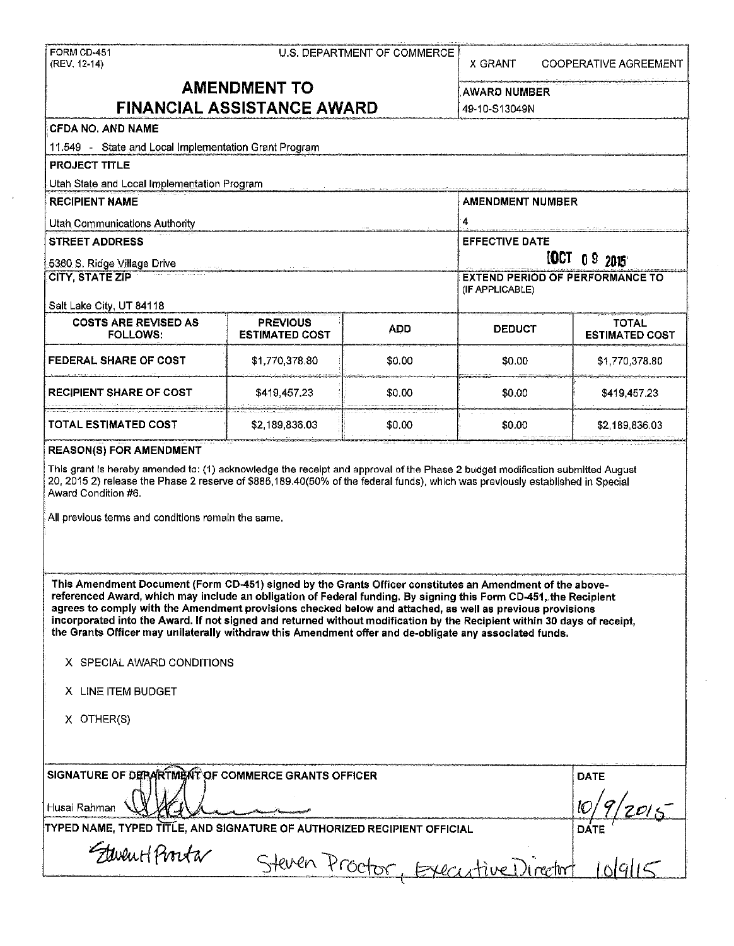| FORM CD-451<br>(REV. 12-14)                                                                                                                                                                                                                                                                                                                                                                                                                                          | U.S. DEPARTMENT OF COMMERCE              |            |                                        | <b>COOPERATIVE AGREEMENT</b>          |  |  |
|----------------------------------------------------------------------------------------------------------------------------------------------------------------------------------------------------------------------------------------------------------------------------------------------------------------------------------------------------------------------------------------------------------------------------------------------------------------------|------------------------------------------|------------|----------------------------------------|---------------------------------------|--|--|
| <b>AMENDMENT TO</b>                                                                                                                                                                                                                                                                                                                                                                                                                                                  |                                          |            | <b>AWARD NUMBER</b>                    |                                       |  |  |
| <b>FINANCIAL ASSISTANCE AWARD</b>                                                                                                                                                                                                                                                                                                                                                                                                                                    |                                          |            |                                        | 49-10-S13049N                         |  |  |
| <b>CFDA NO. AND NAME</b>                                                                                                                                                                                                                                                                                                                                                                                                                                             |                                          |            |                                        |                                       |  |  |
| 11.549 - State and Local Implementation Grant Program                                                                                                                                                                                                                                                                                                                                                                                                                |                                          |            |                                        |                                       |  |  |
| <b>PROJECT TITLE</b>                                                                                                                                                                                                                                                                                                                                                                                                                                                 |                                          |            |                                        |                                       |  |  |
| Utah State and Local Implementation Program                                                                                                                                                                                                                                                                                                                                                                                                                          |                                          |            |                                        |                                       |  |  |
| <b>RECIPIENT NAME</b>                                                                                                                                                                                                                                                                                                                                                                                                                                                |                                          |            | <b>AMENDMENT NUMBER</b>                |                                       |  |  |
| <b>Utan Communications Authority</b>                                                                                                                                                                                                                                                                                                                                                                                                                                 |                                          |            | 4                                      |                                       |  |  |
| <b>STREET ADDRESS</b>                                                                                                                                                                                                                                                                                                                                                                                                                                                |                                          |            |                                        | <b>EFFECTIVE DATE</b>                 |  |  |
| 5360 S. Ridge Village Drive                                                                                                                                                                                                                                                                                                                                                                                                                                          |                                          |            |                                        | [QCT] 0.9 2015                        |  |  |
| <b>CITY, STATE ZIP</b>                                                                                                                                                                                                                                                                                                                                                                                                                                               |                                          |            | <b>EXTEND PERIOD OF PERFORMANCE TO</b> |                                       |  |  |
|                                                                                                                                                                                                                                                                                                                                                                                                                                                                      |                                          |            | (IF APPLICABLE)                        |                                       |  |  |
| Salt Lake City, UT 84118                                                                                                                                                                                                                                                                                                                                                                                                                                             |                                          |            |                                        |                                       |  |  |
| <b>COSTS ARE REVISED AS</b><br><b>FOLLOWS:</b>                                                                                                                                                                                                                                                                                                                                                                                                                       | <b>PREVIOUS</b><br><b>ESTIMATED COST</b> | <b>ADD</b> | <b>DEDUCT</b>                          | <b>TOTAL</b><br><b>ESTIMATED COST</b> |  |  |
| <b>FEDERAL SHARE OF COST</b>                                                                                                                                                                                                                                                                                                                                                                                                                                         | \$1,770,378.80                           | \$0.00     | \$0.00                                 | \$1,770,378.80                        |  |  |
| RECIPIENT SHARE OF COST                                                                                                                                                                                                                                                                                                                                                                                                                                              | \$419,457.23                             | \$0.00     | \$0.00                                 | \$419,457.23                          |  |  |
| TOTAL ESTIMATED COST                                                                                                                                                                                                                                                                                                                                                                                                                                                 | \$2,189,836.03                           | \$0,00     | \$0.00                                 | \$2,189,836.03                        |  |  |
| <b>REASON(S) FOR AMENDMENT</b>                                                                                                                                                                                                                                                                                                                                                                                                                                       |                                          |            |                                        |                                       |  |  |
| Award Condition #6.<br>All previous terms and conditions remain the same.<br>This Amendment Document (Form CD-451) signed by the Grants Officer constitutes an Amendment of the above-                                                                                                                                                                                                                                                                               |                                          |            |                                        |                                       |  |  |
| referenced Award, which may include an obligation of Federal funding. By signing this Form CD-451, the Recipient<br>agrees to comply with the Amendment provisions checked below and attached, as well as previous provisions<br>incorporated into the Award. If not signed and returned without modification by the Recipient within 30 days of receipt,<br>the Grants Officer may unilaterally withdraw this Amendment offer and de-obligate any associated funds. |                                          |            |                                        |                                       |  |  |
| X SPECIAL AWARD CONDITIONS                                                                                                                                                                                                                                                                                                                                                                                                                                           |                                          |            |                                        |                                       |  |  |
| X LINE ITEM BUDGET                                                                                                                                                                                                                                                                                                                                                                                                                                                   |                                          |            |                                        |                                       |  |  |
| X OTHER(S)                                                                                                                                                                                                                                                                                                                                                                                                                                                           |                                          |            |                                        |                                       |  |  |
| SIGNATURE OF DEPARTMENT OF COMMERCE GRANTS OFFICER                                                                                                                                                                                                                                                                                                                                                                                                                   |                                          |            |                                        | <b>DATE</b>                           |  |  |
| Husai Rahman                                                                                                                                                                                                                                                                                                                                                                                                                                                         |                                          |            |                                        |                                       |  |  |
| TYPED NAME, TYPED TITLE, AND SIGNATURE OF AUTHORIZED RECIPIENT OFFICIAL<br><b>DATE</b>                                                                                                                                                                                                                                                                                                                                                                               |                                          |            |                                        |                                       |  |  |
| Fleven Horster                                                                                                                                                                                                                                                                                                                                                                                                                                                       |                                          |            |                                        |                                       |  |  |

 $\hat{\mathbf{r}}$